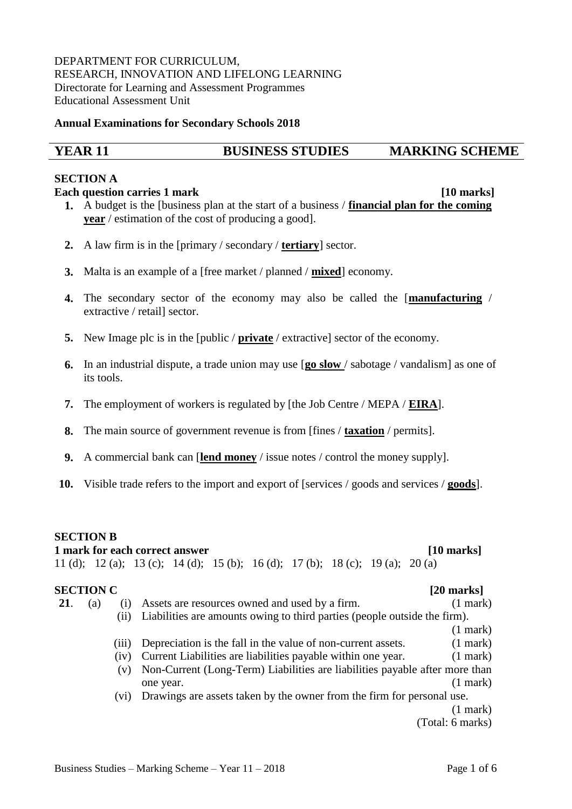### DEPARTMENT FOR CURRICULUM, RESEARCH, INNOVATION AND LIFELONG LEARNING Directorate for Learning and Assessment Programmes Educational Assessment Unit

### **Annual Examinations for Secondary Schools 2018**

# **YEAR 11 BUSINESS STUDIES MARKING SCHEME**

### **SECTION A**

### **Each question carries 1 mark** *n n* **<b>***n n n n n <i>n n n n n n n n n n <i>n*

- **1.** A budget is the [business plan at the start of a business / **financial plan for the coming year** / estimation of the cost of producing a good].
- **2.** A law firm is in the [primary / secondary / **tertiary**] sector.
- **3.** Malta is an example of a [free market / planned / **mixed**] economy.
- **4.** The secondary sector of the economy may also be called the [**manufacturing** / extractive / retail] sector.
- **5.** New Image plc is in the [public / **private** / extractive] sector of the economy.
- **6.** In an industrial dispute, a trade union may use [**go slow** / sabotage / vandalism] as one of its tools.
- **7.** The employment of workers is regulated by [the Job Centre / MEPA / **EIRA**].
- **8.** The main source of government revenue is from [fines / **taxation** / permits].
- **9.** A commercial bank can [**lend money** / issue notes / control the money supply].
- **10.** Visible trade refers to the import and export of [services / goods and services / **goods**].

## **SECTION B**

## **1 mark for each correct answer [10 marks]**

11 (d); 12 (a); 13 (c); 14 (d); 15 (b); 16 (d); 17 (b); 18 (c); 19 (a); 20 (a)

# **SECTION C** [20 **marks**]

**21**. (a) (i) Assets are resources owned and used by a firm. (1 mark) (ii) Liabilities are amounts owing to third parties (people outside the firm). (1 mark) (iii) Depreciation is the fall in the value of non-current assets. (1 mark) (iv) Current Liabilities are liabilities payable within one year. (1 mark) (v) Non-Current (Long-Term) Liabilities are liabilities payable after more than one year. (1 mark) (vi) Drawings are assets taken by the owner from the firm for personal use. (1 mark) (Total: 6 marks)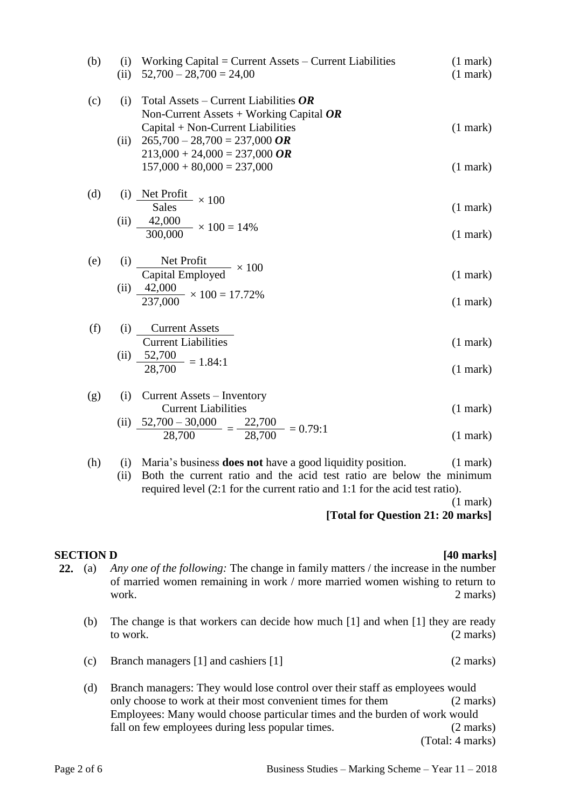| (b) | $\left( 1 \right)$<br>(ii) | Working Capital = Current Assets $-$ Current Liabilities<br>$52,700 - 28,700 = 24,00$                                     | $(1$ mark $)$<br>$(1$ mark $)$ |
|-----|----------------------------|---------------------------------------------------------------------------------------------------------------------------|--------------------------------|
| (c) | (i)                        | Total Assets – Current Liabilities $OR$<br>Non-Current Assets + Working Capital $OR$<br>Capital + Non-Current Liabilities | $(1$ mark $)$                  |
|     | (ii)                       | $265,700 - 28,700 = 237,000$ OR<br>$213,000 + 24,000 = 237,000$ OR<br>$157,000 + 80,000 = 237,000$                        | $(1$ mark $)$                  |
| (d) | (1)                        | Net Profit $\times 100$<br><b>Sales</b>                                                                                   | $(1$ mark $)$                  |
|     | (ii)                       | 42,000<br>$\frac{1.25000}{300,000} \times 100 = 14\%$                                                                     | $(1$ mark $)$                  |
| (e) | (i)                        | Net Profit<br>Capital Employed $\times 100$                                                                               | $(1$ mark $)$                  |
|     | (ii)                       | $\frac{42,000}{237,000} \times 100 = 17.72\%$                                                                             | $(1$ mark $)$                  |
| (f) | (i)                        | <b>Current Assets</b><br><b>Current Liabilities</b>                                                                       | $(1$ mark $)$                  |
|     | (ii)                       | $\frac{52,700}{28,700} = 1.84:1$                                                                                          | $(1$ mark $)$                  |
| (g) | (i)                        | Current Assets - Inventory<br><b>Current Liabilities</b><br>$F \cap F \cap \cap F$ $\cap \cap \cap \cap$<br>22.700        | $(1$ mark $)$                  |

(ii) 
$$
\frac{52,700 - 30,000}{28,700} = \frac{22,700}{28,700} = 0.79:1
$$
 (1 mark)

(h) (i) Maria's business **does not** have a good liquidity position. (1 mark) (ii) Both the current ratio and the acid test ratio are below the minimum required level (2:1 for the current ratio and 1:1 for the acid test ratio).

(1 mark)

**[Total for Question 21: 20 marks]**

## **SECTION D [40 marks]**

- **22.** (a) *Any one of the following:* The change in family matters / the increase in the number of married women remaining in work / more married women wishing to return to work. 2 marks)
	- (b) The change is that workers can decide how much [1] and when [1] they are ready to work. (2 marks)
	- (c) Branch managers [1] and cashiers [1] (2 marks)
	- (d) Branch managers: They would lose control over their staff as employees would only choose to work at their most convenient times for them (2 marks) Employees: Many would choose particular times and the burden of work would fall on few employees during less popular times. (2 marks) (Total: 4 marks)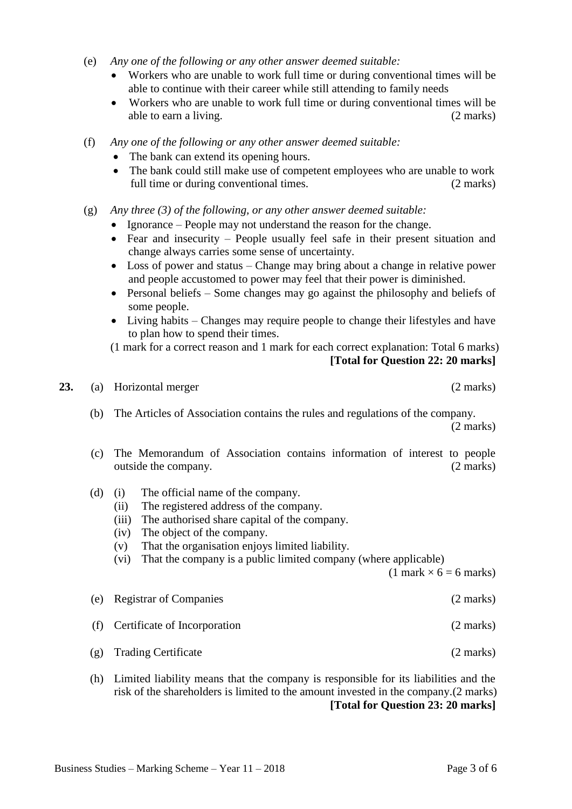- (e) *Any one of the following or any other answer deemed suitable:*
	- Workers who are unable to work full time or during conventional times will be able to continue with their career while still attending to family needs
	- Workers who are unable to work full time or during conventional times will be able to earn a living. (2 marks)
- (f) *Any one of the following or any other answer deemed suitable:*
	- The bank can extend its opening hours.
	- The bank could still make use of competent employees who are unable to work full time or during conventional times. (2 marks)
- (g) *Any three (3) of the following, or any other answer deemed suitable:*
	- Ignorance People may not understand the reason for the change.
	- Fear and insecurity People usually feel safe in their present situation and change always carries some sense of uncertainty.
	- Loss of power and status Change may bring about a change in relative power and people accustomed to power may feel that their power is diminished.
	- Personal beliefs Some changes may go against the philosophy and beliefs of some people.
	- Living habits Changes may require people to change their lifestyles and have to plan how to spend their times.
	- (1 mark for a correct reason and 1 mark for each correct explanation: Total 6 marks)

**[Total for Question 22: 20 marks]**

- - (b) The Articles of Association contains the rules and regulations of the company. (2 marks)
	- (c) The Memorandum of Association contains information of interest to people outside the company. (2 marks)
	- (d) (i) The official name of the company.
		- (ii) The registered address of the company.
		- (iii) The authorised share capital of the company.
		- (iv) The object of the company.
		- (v) That the organisation enjoys limited liability.
		- (vi) That the company is a public limited company (where applicable)

 $(1$  mark  $\times$  6 = 6 marks)

- (e) Registrar of Companies (2 marks)
- (f) Certificate of Incorporation (2 marks)
- (g) Trading Certificate (2 marks)
- (h) Limited liability means that the company is responsible for its liabilities and the risk of the shareholders is limited to the amount invested in the company.(2 marks) **[Total for Question 23: 20 marks]**

**23.** (a) Horizontal merger (2 marks)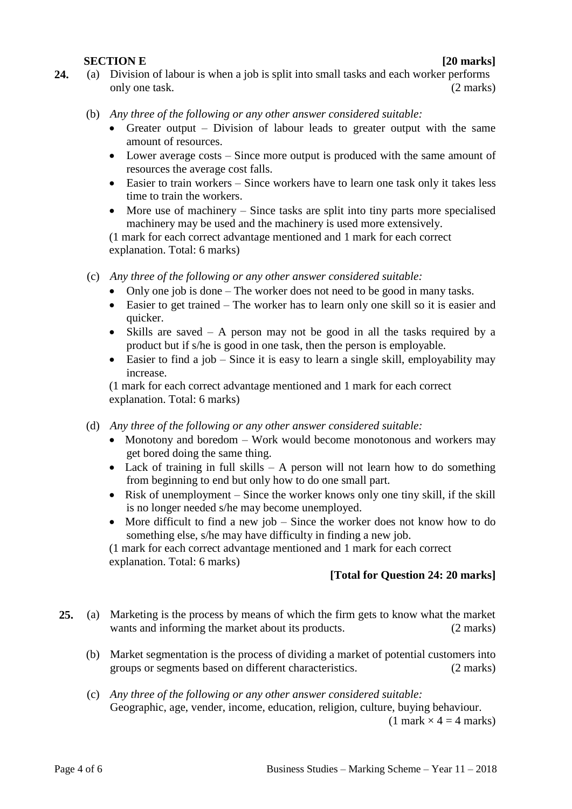## **SECTION E [20 marks]**

- **24.** (a) Division of labour is when a job is split into small tasks and each worker performs only one task. (2 marks)
	- (b) *Any three of the following or any other answer considered suitable:*
		- Greater output Division of labour leads to greater output with the same amount of resources.
		- Lower average costs Since more output is produced with the same amount of resources the average cost falls.
		- Easier to train workers Since workers have to learn one task only it takes less time to train the workers.
		- More use of machinery Since tasks are split into tiny parts more specialised machinery may be used and the machinery is used more extensively.

(1 mark for each correct advantage mentioned and 1 mark for each correct explanation. Total: 6 marks)

- (c) *Any three of the following or any other answer considered suitable:*
	- Only one job is done The worker does not need to be good in many tasks.
	- Easier to get trained The worker has to learn only one skill so it is easier and quicker.
	- Skills are saved A person may not be good in all the tasks required by a product but if s/he is good in one task, then the person is employable.
	- Easier to find a job Since it is easy to learn a single skill, employability may increase.

(1 mark for each correct advantage mentioned and 1 mark for each correct explanation. Total: 6 marks)

- (d) *Any three of the following or any other answer considered suitable:*
	- Monotony and boredom Work would become monotonous and workers may get bored doing the same thing.
	- Lack of training in full skills  $A$  person will not learn how to do something from beginning to end but only how to do one small part.
	- Risk of unemployment Since the worker knows only one tiny skill, if the skill is no longer needed s/he may become unemployed.
	- More difficult to find a new job Since the worker does not know how to do something else, s/he may have difficulty in finding a new job.

(1 mark for each correct advantage mentioned and 1 mark for each correct explanation. Total: 6 marks)

## **[Total for Question 24: 20 marks]**

- **25.** (a) Marketing is the process by means of which the firm gets to know what the market wants and informing the market about its products. (2 marks)
	- (b) Market segmentation is the process of dividing a market of potential customers into groups or segments based on different characteristics. (2 marks)
	- (c) *Any three of the following or any other answer considered suitable:* Geographic, age, vender, income, education, religion, culture, buying behaviour.

 $(1 \text{ mark} \times 4 = 4 \text{ marks})$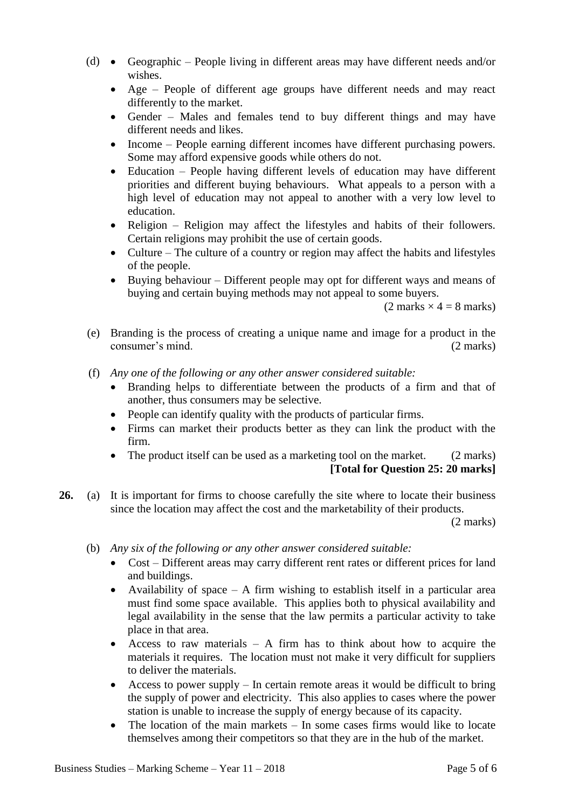- (d) Geographic People living in different areas may have different needs and/or wishes.
	- Age People of different age groups have different needs and may react differently to the market.
	- Gender Males and females tend to buy different things and may have different needs and likes.
	- Income People earning different incomes have different purchasing powers. Some may afford expensive goods while others do not.
	- Education People having different levels of education may have different priorities and different buying behaviours. What appeals to a person with a high level of education may not appeal to another with a very low level to education.
	- Religion Religion may affect the lifestyles and habits of their followers. Certain religions may prohibit the use of certain goods.
	- Culture The culture of a country or region may affect the habits and lifestyles of the people.
	- Buying behaviour Different people may opt for different ways and means of buying and certain buying methods may not appeal to some buyers.

 $(2 \text{ marks} \times 4 = 8 \text{ marks})$ 

- (e) Branding is the process of creating a unique name and image for a product in the consumer's mind. (2 marks)
- (f) *Any one of the following or any other answer considered suitable:*
	- Branding helps to differentiate between the products of a firm and that of another, thus consumers may be selective.
	- People can identify quality with the products of particular firms.
	- Firms can market their products better as they can link the product with the firm.
	- The product itself can be used as a marketing tool on the market. (2 marks) **[Total for Question 25: 20 marks]**
- **26.** (a) It is important for firms to choose carefully the site where to locate their business since the location may affect the cost and the marketability of their products.

(2 marks)

- (b) *Any six of the following or any other answer considered suitable:*
	- Cost Different areas may carry different rent rates or different prices for land and buildings.
	- Availability of space  $-$  A firm wishing to establish itself in a particular area must find some space available. This applies both to physical availability and legal availability in the sense that the law permits a particular activity to take place in that area.
	- $\bullet$  Access to raw materials A firm has to think about how to acquire the materials it requires. The location must not make it very difficult for suppliers to deliver the materials.
	- Access to power supply  $-$  In certain remote areas it would be difficult to bring the supply of power and electricity. This also applies to cases where the power station is unable to increase the supply of energy because of its capacity.
	- The location of the main markets In some cases firms would like to locate themselves among their competitors so that they are in the hub of the market.